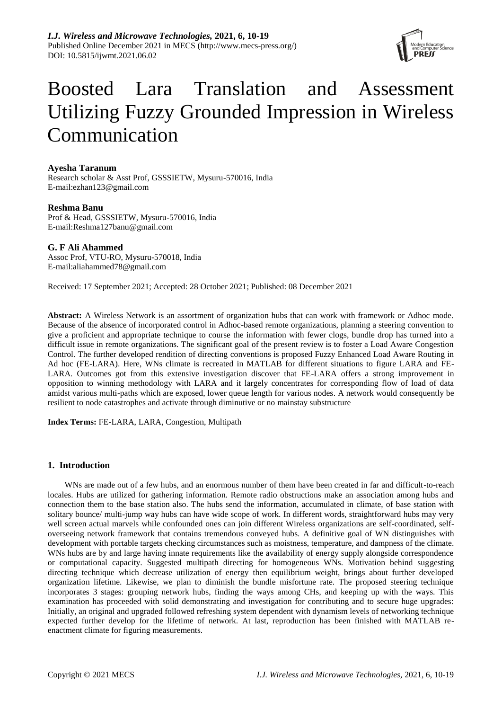

# Boosted Lara Translation and Assessment Utilizing Fuzzy Grounded Impression in Wireless Communication

# **Ayesha Taranum**

Research scholar & Asst Prof, GSSSIETW, Mysuru-570016, India E-mail[:ezhan123@gmail.com](mailto:ezhan123@gmail.com)

## **Reshma Banu**

Prof & Head, GSSSIETW, Mysuru-570016, India E-mail[:Reshma127banu@gmail.com](mailto:Reshma127banu@gmail.com)

# **G. F Ali Ahammed**

Assoc Prof, VTU-RO, Mysuru-570018, India E-mail[:aliahammed78@gmail.com](mailto:aliahammed78@gmail.com)

Received: 17 September 2021; Accepted: 28 October 2021; Published: 08 December 2021

**Abstract:** A Wireless Network is an assortment of organization hubs that can work with framework or Adhoc mode. Because of the absence of incorporated control in Adhoc-based remote organizations, planning a steering convention to give a proficient and appropriate technique to course the information with fewer clogs, bundle drop has turned into a difficult issue in remote organizations. The significant goal of the present review is to foster a Load Aware Congestion Control. The further developed rendition of directing conventions is proposed Fuzzy Enhanced Load Aware Routing in Ad hoc (FE-LARA). Here, WNs climate is recreated in MATLAB for different situations to figure LARA and FE-LARA. Outcomes got from this extensive investigation discover that FE-LARA offers a strong improvement in opposition to winning methodology with LARA and it largely concentrates for corresponding flow of load of data amidst various multi-paths which are exposed, lower queue length for various nodes. A network would consequently be resilient to node catastrophes and activate through diminutive or no mainstay substructure

**Index Terms:** FE-LARA, LARA, Congestion, Multipath

# **1. Introduction**

WNs are made out of a few hubs, and an enormous number of them have been created in far and difficult-to-reach locales. Hubs are utilized for gathering information. Remote radio obstructions make an association among hubs and connection them to the base station also. The hubs send the information, accumulated in climate, of base station with solitary bounce/ multi-jump way hubs can have wide scope of work. In different words, straightforward hubs may very well screen actual marvels while confounded ones can join different Wireless organizations are self-coordinated, selfoverseeing network framework that contains tremendous conveyed hubs. A definitive goal of WN distinguishes with development with portable targets checking circumstances such as moistness, temperature, and dampness of the climate. WNs hubs are by and large having innate requirements like the availability of energy supply alongside correspondence or computational capacity. Suggested multipath directing for homogeneous WNs. Motivation behind suggesting directing technique which decrease utilization of energy then equilibrium weight, brings about further developed organization lifetime. Likewise, we plan to diminish the bundle misfortune rate. The proposed steering technique incorporates 3 stages: grouping network hubs, finding the ways among CHs, and keeping up with the ways. This examination has proceeded with solid demonstrating and investigation for contributing and to secure huge upgrades: Initially, an original and upgraded followed refreshing system dependent with dynamism levels of networking technique expected further develop for the lifetime of network. At last, reproduction has been finished with MATLAB reenactment climate for figuring measurements.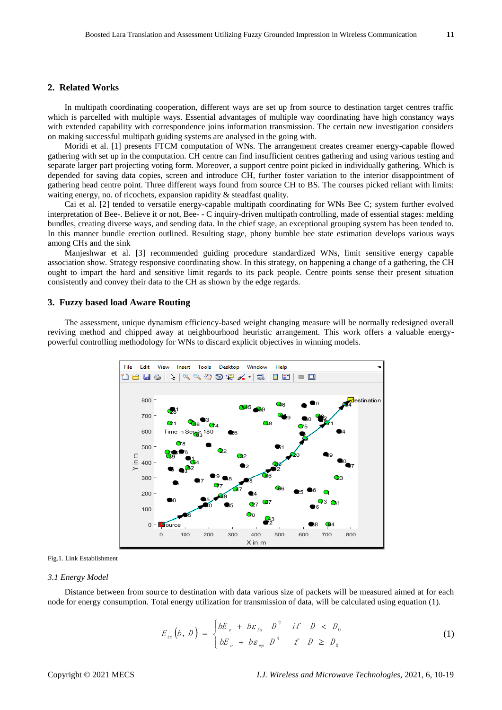## **2. Related Works**

In multipath coordinating cooperation, different ways are set up from source to destination target centres traffic which is parcelled with multiple ways. Essential advantages of multiple way coordinating have high constancy ways with extended capability with correspondence joins information transmission. The certain new investigation considers on making successful multipath guiding systems are analysed in the going with.

Moridi et al. [1] presents FTCM computation of WNs. The arrangement creates creamer energy-capable flowed gathering with set up in the computation. CH centre can find insufficient centres gathering and using various testing and separate larger part projecting voting form. Moreover, a support centre point picked in individually gathering. Which is depended for saving data copies, screen and introduce CH, further foster variation to the interior disappointment of gathering head centre point. Three different ways found from source CH to BS. The courses picked reliant with limits: waiting energy, no. of ricochets, expansion rapidity & steadfast quality.

Cai et al. [2] tended to versatile energy-capable multipath coordinating for WNs Bee C; system further evolved interpretation of Bee-. Believe it or not, Bee- - C inquiry-driven multipath controlling, made of essential stages: melding bundles, creating diverse ways, and sending data. In the chief stage, an exceptional grouping system has been tended to. In this manner bundle erection outlined. Resulting stage, phony bumble bee state estimation develops various ways among CHs and the sink

Manjeshwar et al. [3] recommended guiding procedure standardized WNs, limit sensitive energy capable association show. Strategy responsive coordinating show. In this strategy, on happening a change of a gathering, the CH ought to impart the hard and sensitive limit regards to its pack people. Centre points sense their present situation consistently and convey their data to the CH as shown by the edge regards.

### **3. Fuzzy based load Aware Routing**

The assessment, unique dynamism efficiency-based weight changing measure will be normally redesigned overall reviving method and chipped away at neighbourhood heuristic arrangement. This work offers a valuable energypowerful controlling methodology for WNs to discard explicit objectives in winning models.



#### Fig.1. Link Establishment

#### *3.1 Energy Model*

Distance between from source to destination with data various size of packets will be measured aimed at for each node for energy consumption. Total energy utilization for transmission of data, will be calculated using equation (1).

$$
E_{tx}(b, D) = \begin{cases} bE_e + b\varepsilon_{rs} & D^2 & \text{if } D < D_0 \\ bE_e + b\varepsilon_{mp} & D^4 & \text{if } D \ge D_0 \end{cases}
$$
 (1)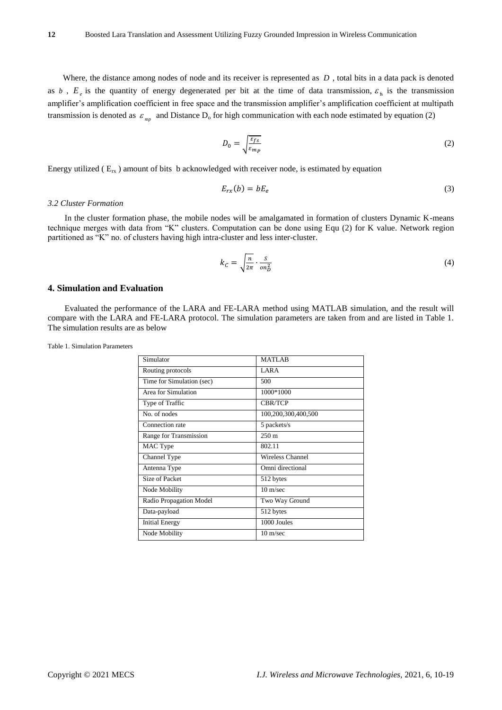Where, the distance among nodes of node and its receiver is represented as *D* , total bits in a data pack is denoted as b,  $E_e$  is the quantity of energy degenerated per bit at the time of data transmission,  $\varepsilon$ <sub>b</sub> is the transmission amplifier's amplification coefficient in free space and the transmission amplifier's amplification coefficient at multipath transmission is denoted as  $\varepsilon_{mp}$  and Distance  $D_0$  for high communication with each node estimated by equation (2)

$$
D_0 = \sqrt{\frac{\varepsilon_{fs}}{\varepsilon_{mp}}} \tag{2}
$$

Energy utilized ( $E_{rx}$ ) amount of bits b acknowledged with receiver node, is estimated by equation

$$
E_{rx}(b) = bE_e \tag{3}
$$

#### *3.2 Cluster Formation*

In the cluster formation phase, the mobile nodes will be amalgamated in formation of clusters Dynamic K-means technique merges with data from "K" clusters. Computation can be done using Equ (2) for K value. Network region partitioned as "K" no. of clusters having high intra-cluster and less inter-cluster.

$$
k_C = \sqrt{\frac{n}{2\pi}} \cdot \frac{S}{on_D^2} \tag{4}
$$

## **4. Simulation and Evaluation**

Evaluated the performance of the LARA and FE-LARA method using MATLAB simulation, and the result will compare with the LARA and FE-LARA protocol. The simulation parameters are taken from and are listed in Table 1. The simulation results are as below

| Simulator                 | <b>MATLAB</b>       |  |
|---------------------------|---------------------|--|
| Routing protocols         | LARA                |  |
| Time for Simulation (sec) | 500                 |  |
| Area for Simulation       | 1000*1000           |  |
| Type of Traffic           | <b>CBR/TCP</b>      |  |
| No. of nodes              | 100,200,300,400,500 |  |
| Connection rate           | 5 packets/s         |  |
| Range for Transmission    | $250 \text{ m}$     |  |
| MAC Type                  | 802.11              |  |
| Channel Type              | Wireless Channel    |  |
| Antenna Type              | Omni directional    |  |
| Size of Packet            | 512 bytes           |  |
| Node Mobility             | $10 \text{ m/sec}$  |  |
| Radio Propagation Model   | Two Way Ground      |  |
| Data-payload              | 512 bytes           |  |
| <b>Initial Energy</b>     | 1000 Joules         |  |
| Node Mobility             | $10 \text{ m/sec}$  |  |

Table 1. Simulation Parameters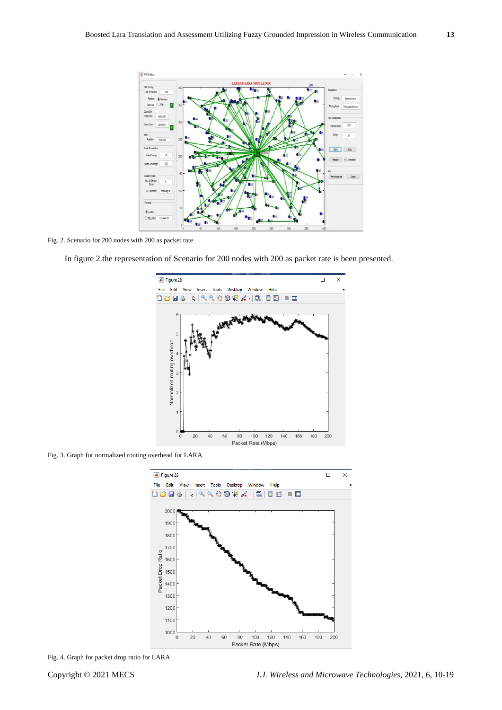

Fig. 2. Scenario for 200 nodes with 200 as packet rate



In figure 2.the representation of Scenario for 200 nodes with 200 as packet rate is been presented.

Fig. 3. Graph for normalized routing overhead for LARA



Fig. 4. Graph for packet drop ratio for LARA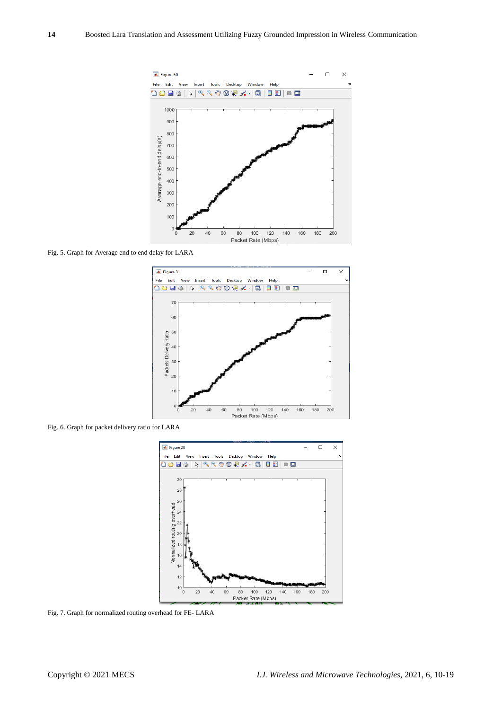

Fig. 5. Graph for Average end to end delay for LARA



Fig. 6. Graph for packet delivery ratio for LARA



Fig. 7. Graph for normalized routing overhead for FE- LARA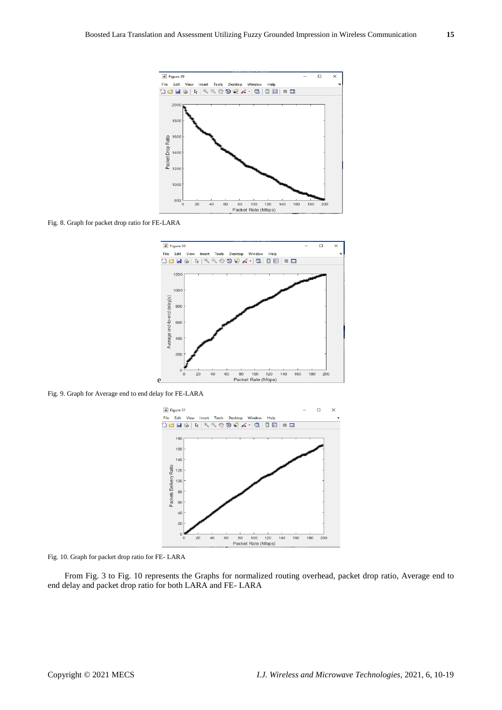

Fig. 8. Graph for packet drop ratio for FE-LARA



Fig. 9. Graph for Average end to end delay for FE-LARA



Fig. 10. Graph for packet drop ratio for FE- LARA

From Fig. 3 to Fig. 10 represents the Graphs for normalized routing overhead, packet drop ratio, Average end to end delay and packet drop ratio for both LARA and FE- LARA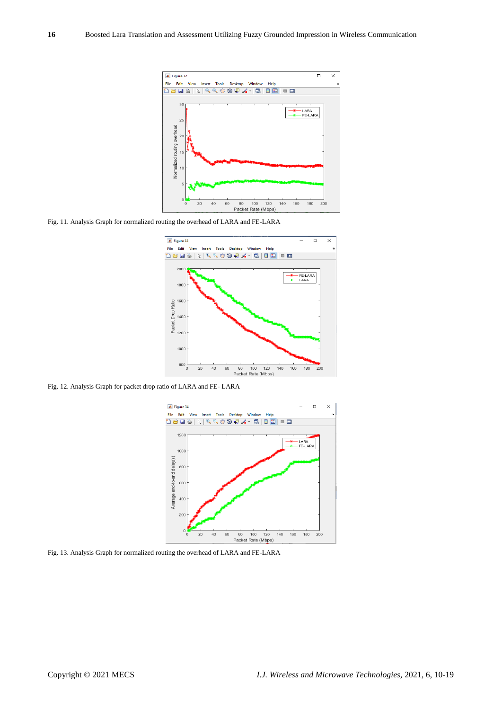

Fig. 11. Analysis Graph for normalized routing the overhead of LARA and FE-LARA



Fig. 12. Analysis Graph for packet drop ratio of LARA and FE- LARA



Fig. 13. Analysis Graph for normalized routing the overhead of LARA and FE-LARA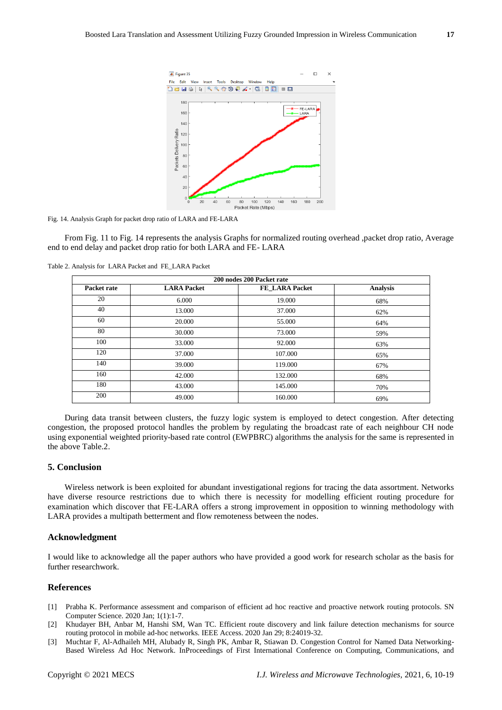

Fig. 14. Analysis Graph for packet drop ratio of LARA and FE-LARA

From Fig. 11 to Fig. 14 represents the analysis Graphs for normalized routing overhead ,packet drop ratio, Average end to end delay and packet drop ratio for both LARA and FE- LARA

Table 2. Analysis for LARA Packet and FE\_LARA Packet

| 200 nodes 200 Packet rate |                    |                |                 |
|---------------------------|--------------------|----------------|-----------------|
| Packet rate               | <b>LARA Packet</b> | FE LARA Packet | <b>Analysis</b> |
| 20                        | 6.000              | 19.000         | 68%             |
| 40                        | 13.000             | 37.000         | 62%             |
| 60                        | 20,000             | 55.000         | 64%             |
| 80                        | 30.000             | 73,000         | 59%             |
| 100                       | 33,000             | 92.000         | 63%             |
| 120                       | 37.000             | 107.000        | 65%             |
| 140                       | 39,000             | 119.000        | 67%             |
| 160                       | 42.000             | 132.000        | 68%             |
| 180                       | 43.000             | 145.000        | 70%             |
| 200                       | 49.000             | 160.000        | 69%             |

During data transit between clusters, the fuzzy logic system is employed to detect congestion. After detecting congestion, the proposed protocol handles the problem by regulating the broadcast rate of each neighbour CH node using exponential weighted priority-based rate control (EWPBRC) algorithms the analysis for the same is represented in the above Table.2.

## **5. Conclusion**

Wireless network is been exploited for abundant investigational regions for tracing the data assortment. Networks have diverse resource restrictions due to which there is necessity for modelling efficient routing procedure for examination which discover that FE-LARA offers a strong improvement in opposition to winning methodology with LARA provides a multipath betterment and flow remoteness between the nodes.

## **Acknowledgment**

I would like to acknowledge all the paper authors who have provided a good work for research scholar as the basis for further researchwork.

## **References**

- [1] Prabha K. Performance assessment and comparison of efficient ad hoc reactive and proactive network routing protocols. SN Computer Science. 2020 Jan; 1(1):1-7.
- [2] Khudayer BH, Anbar M, Hanshi SM, Wan TC. Efficient route discovery and link failure detection mechanisms for source routing protocol in mobile ad-hoc networks. IEEE Access. 2020 Jan 29; 8:24019-32.
- [3] Muchtar F, Al-Adhaileh MH, Alubady R, Singh PK, Ambar R, Stiawan D. Congestion Control for Named Data Networking-Based Wireless Ad Hoc Network. InProceedings of First International Conference on Computing, Communications, and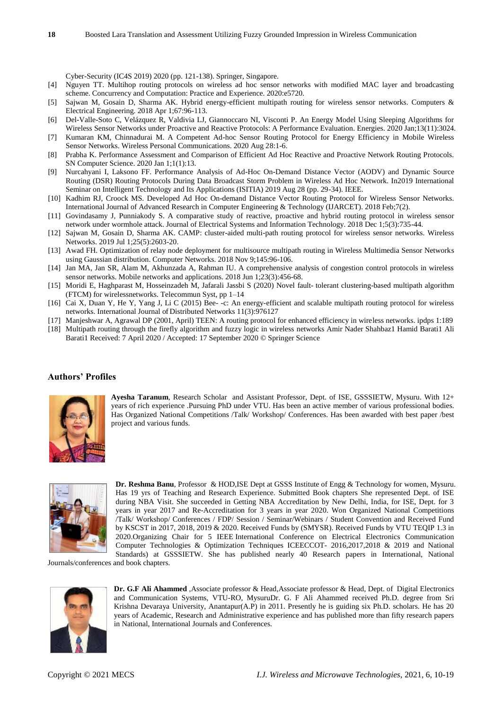Cyber-Security (IC4S 2019) 2020 (pp. 121-138). Springer, Singapore.

- [4] Nguyen TT. Multihop routing protocols on wireless ad hoc sensor networks with modified MAC layer and broadcasting scheme. Concurrency and Computation: Practice and Experience. 2020:e5720.
- [5] Sajwan M, Gosain D, Sharma AK. Hybrid energy-efficient multipath routing for wireless sensor networks. Computers & Electrical Engineering. 2018 Apr 1;67:96-113.
- [6] Del-Valle-Soto C, Velázquez R, Valdivia LJ, Giannoccaro NI, Visconti P. An Energy Model Using Sleeping Algorithms for Wireless Sensor Networks under Proactive and Reactive Protocols: A Performance Evaluation. Energies. 2020 Jan;13(11):3024.
- [7] Kumaran KM, Chinnadurai M. A Competent Ad-hoc Sensor Routing Protocol for Energy Efficiency in Mobile Wireless Sensor Networks. Wireless Personal Communications. 2020 Aug 28:1-6.
- [8] Prabha K. Performance Assessment and Comparison of Efficient Ad Hoc Reactive and Proactive Network Routing Protocols. SN Computer Science. 2020 Jan 1;1(1):13.
- [9] Nurcahyani I, Laksono FF. Performance Analysis of Ad-Hoc On-Demand Distance Vector (AODV) and Dynamic Source Routing (DSR) Routing Protocols During Data Broadcast Storm Problem in Wireless Ad Hoc Network. In2019 International Seminar on Intelligent Technology and Its Applications (ISITIA) 2019 Aug 28 (pp. 29-34). IEEE.
- [10] Kadhim RJ, Croock MS. Developed Ad Hoc On-demand Distance Vector Routing Protocol for Wireless Sensor Networks. International Journal of Advanced Research in Computer Engineering & Technology (IJARCET). 2018 Feb;7(2).
- [11] Govindasamy J, Punniakody S. A comparative study of reactive, proactive and hybrid routing protocol in wireless sensor network under wormhole attack. Journal of Electrical Systems and Information Technology. 2018 Dec 1;5(3):735-44.
- [12] Sajwan M, Gosain D, Sharma AK. CAMP: cluster-aided multi-path routing protocol for wireless sensor networks. Wireless Networks. 2019 Jul 1;25(5):2603-20.
- [13] Awad FH. Optimization of relay node deployment for multisource multipath routing in Wireless Multimedia Sensor Networks using Gaussian distribution. Computer Networks. 2018 Nov 9;145:96-106.
- [14] Jan MA, Jan SR, Alam M, Akhunzada A, Rahman IU. A comprehensive analysis of congestion control protocols in wireless sensor networks. Mobile networks and applications. 2018 Jun 1;23(3):456-68.
- [15] Moridi E, Haghparast M, Hosseinzadeh M, Jafarali Jassbi S (2020) Novel fault- tolerant clustering-based multipath algorithm (FTCM) for wirelessnetworks. Telecommun Syst, pp 1–14
- [16] Cai X, Duan Y, He Y, Yang J, Li C (2015) Bee- -c: An energy-efficient and scalable multipath routing protocol for wireless networks. International Journal of Distributed Networks 11(3):976127
- [17] Manjeshwar A, Agrawal DP (2001, April) TEEN: A routing protocol for enhanced efficiency in wireless networks. ipdps 1:189 [18] Multipath routing through the firefly algorithm and fuzzy logic in wireless networks Amir Nader Shahbaz1 Hamid Barati1 Ali Barati1 Received: 7 April 2020 / Accepted: 17 September 2020 © Springer Science

## **Authors' Profiles**



**Ayesha Taranum**, Research Scholar and Assistant Professor, Dept. of ISE, GSSSIETW, Mysuru. With 12+ years of rich experience .Pursuing PhD under VTU. Has been an active member of various professional bodies. Has Organized National Competitions /Talk/ Workshop/ Conferences. Has been awarded with best paper /best project and various funds.



**Dr. Reshma Banu**, Professor & HOD,ISE Dept at GSSS Institute of Engg & Technology for women, Mysuru. Has 19 yrs of Teaching and Research Experience. Submitted Book chapters She represented Dept. of ISE during NBA Visit. She succeeded in Getting NBA Accreditation by New Delhi, India, for ISE, Dept. for 3 years in year 2017 and Re-Accreditation for 3 years in year 2020. Won Organized National Competitions /Talk/ Workshop/ Conferences / FDP/ Session / Seminar/Webinars / Student Convention and Received Fund by KSCST in 2017, 2018, 2019 & 2020. Received Funds by (SMYSR). Received Funds by VTU TEQIP 1.3 in 2020.Organizing Chair for 5 IEEE International Conference on Electrical Electronics Communication Computer Technologies & Optimization Techniques ICEECCOT- 2016,2017,2018 & 2019 and National Standards) at GSSSIETW. She has published nearly 40 Research papers in International, National

Journals/conferences and book chapters.



**Dr. G.F Ali Ahammed** ,Associate professor & Head,Associate professor & Head, Dept. of Digital Electronics and Communication Systems, VTU-RO, MysuruDr. G. F Ali Ahammed received Ph.D. degree from Sri Krishna Devaraya University, Anantapur(A.P) in 2011. Presently he is guiding six Ph.D. scholars. He has 20 years of Academic, Research and Administrative experience and has published more than fifty research papers in National, International Journals and Conferences.